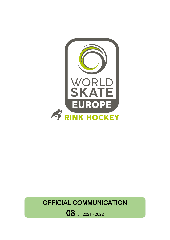

## OFFICIAL COMMUNICATION

08 / 2021 – <sup>2022</sup>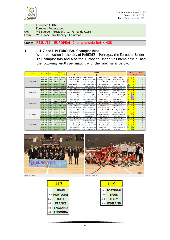

| To          | : European CLUBS                            |
|-------------|---------------------------------------------|
|             | <b>European Federations</b>                 |
| C/C         | : WS Europe - President - Mr Fernando Claro |
| <b>From</b> | : WS Europe Rink-Hockey - Chairman          |

## Object : **RESULTS | EUROPEAN Championship RANKINGS**

**1** - U17 and U19 EUROPEAN Championships With realization in the city of PAREDES | Portugal, the European Under-17 Championship and also the European Under-19 Championship, had the following results per match, with the rankings as below:

| Day        | Hour  | Match Type |            | Country           |                   | <b>Referees</b>         |                         |                              |                                | <b>Result</b>           |                         | <b>Points</b>           |                |
|------------|-------|------------|------------|-------------------|-------------------|-------------------------|-------------------------|------------------------------|--------------------------------|-------------------------|-------------------------|-------------------------|----------------|
|            |       |            |            | Team <sub>1</sub> | Team <sub>2</sub> | $\blacktriangleleft$    | $\overline{2}$          | 3                            | 4                              | <b>Home</b>             | Visiting Home Visiting  |                         |                |
|            | 11:00 | 201        | <b>U17</b> | <b>FRANCE</b>     | <b>SPAIN</b>      | Francesco Stallone (IT) | Simone Branbilla (IT)   | <b>Teófilo Casimiro (PT)</b> | Silvia Coelho (PT)             | $\bf{0}$                | 9                       | $\mathbf{0}$            | $\mathbf{3}$   |
|            | 15:00 | 202        | <b>U17</b> | <b>ITALY</b>      | <b>ENGLAND</b>    | Silvia Coelho (PT)      | Teófilo Casimiro (PT)   | Pedro Figueiredo (PT)        | Paulo Almeida (PT)             | 14                      | 1                       | 3 <sup>7</sup>          | $\mathbf{0}$   |
| 07/09/2021 | 17:00 | 203        | <b>U17</b> | <b>PORTUGAL</b>   | <b>ANDORRA</b>    | Bruno Sosa (GB)         | Nuno Melo (FR)          | Josep Ribó (SP)              | Alvaro de La Hera (SP)         | <b>16</b>               | $\overline{0}$          | $\overline{3}$          | $\mathbf{0}$   |
|            | 19:00 | 204        | <b>U19</b> | <b>SPAIN</b>      | <b>ITALY</b>      | Paulo Almeida (PT)      | Pedro Figueiredo (PT)   | Bruno Sosa (GB)              | Nuno Melo (FR)                 | $\overline{2}$          | $\overline{1}$          | 3                       | $\mathbf{0}$   |
|            | 21:00 | 205        | <b>U19</b> | <b>PORTUGAL</b>   | <b>ENGLAND</b>    | Alvaro de La Hera (SP)  | Josep Ribó (SP)         | Simone Branbilla (IT)        | <b>Francesco Stallone (IT)</b> | 12                      | $\overline{0}$          | $\overline{\mathbf{3}}$ | $\mathbf{0}$   |
|            | 11:00 | 206        | <b>U17</b> | <b>SPAIN</b>      | <b>ENGLAND</b>    | Silvia Coelho (PT)      | Francesco Stallone (IT) | <b>Teófilo Casimiro (PT)</b> | Pedro Figueiredo (PT)          | 13                      | $\overline{0}$          | $\overline{3}$          | $\mathbf{0}$   |
|            | 15:00 | 207        | <b>U17</b> | <b>ANDORRA</b>    | <b>ITALY</b>      | Teófilo Casimiro (PT)   | Pedro Figueiredo (PT)   | Silvia Coelho (PT)           | Paulo Almeida (PT)             | $\overline{0}$          | 9                       | $\mathbf{0}$            | 3              |
| 08/09/2021 | 17:00 | 208        | <b>U17</b> | <b>FRANCE</b>     | <b>PORTUGAL</b>   | Simone Branbilla (IT)   | Bruno Sosa (GB)         | Josep Ribó (SP)              | Alvaro de La Hera (SP)         | $\overline{2}$          | $\overline{9}$          | $\mathbf{0}$            | $\overline{3}$ |
|            | 19:00 | 209        | 1119       | <b>ENGLAND</b>    | <b>SPAIN</b>      | Nuno Melo (FR)          | Paulo Almeida (PT)      | Simone Branbilla (IT)        | Francesco Stallone (IT)        | $\overline{2}$          | 75                      | $\mathbf{0}$            | $\overline{3}$ |
|            | 21:00 | 210        | <b>U19</b> | <b>ITALY</b>      | <b>PORTUGAL</b>   | Josep Ribó (SP)         | Alvaro de La Hera (SP)  | Nuno Melo (FR)               | Bruno Sosa (GB)                | $\overline{2}$          | $\overline{\mathbf{8}}$ | $\mathbf{0}$            | $\mathbf{3}$   |
| 09/09/2021 | 11:00 | 211        | <b>U17</b> | <b>ANDORRA</b>    | <b>SPAIN</b>      | Bruno Sosa (GB)         | Pedro Figueiredo (PT)   | Josep Ribó (SP)              | Paulo Ameida (PT)              | $\overline{0}$          | 30                      | $\mathbf{0}$            | $\overline{3}$ |
|            | 15:00 | 212        | <b>U17</b> | <b>FRANCE</b>     | <b>ENGLAND</b>    | Josep Ribó (SP)         | Paulo Almeida (PT)      | Francesco Stallone (IT)      | Simone Branbilla (IT)          | $\overline{4}$          | $\overline{2}$          | $\overline{\mathbf{3}}$ | $\mathbf{0}$   |
|            | 17:00 | 213        | <b>U17</b> | <b>PORTUGAL</b>   | <b>ITALY</b>      | Alvaro de La Hera (SP)  | Nuno Melo (FR)          | Bruno Sosa (GB)              | Josep Ribó (SP)                | 8                       | $\overline{2}$          | $\overline{\mathbf{3}}$ | $\mathbf{0}$   |
|            | 19:00 | 214        | <b>U19</b> | <b>ITALY</b>      | <b>ENGLAND</b>    | Silvia Coelho (PT)      | Teófilo Casimiro (PT)   | Paulo Ameida (PT)            | Pedro Figueiredo (PT)          | 7                       | $\overline{2}$          | $\overline{\mathbf{3}}$ | $\mathbf{0}$   |
|            | 21:00 | 215        | <b>U19</b> | <b>PORTUGAL</b>   | <b>SPAIN</b>      | Francesco Stallone (IT) | Simone Branbilla (IT)   | Alvaro de La Hera (SP)       | Nuno Melo (FR)                 | $\overline{2}$          | $\overline{0}$          | $\overline{\mathbf{3}}$ | $\mathbf{0}$   |
|            | 11:00 | 216        | <b>U17</b> | <b>FRANCE</b>     | <b>ANDORRA</b>    | Bruno Sosa (GB)         | Simone Branbilla (IT)   | Paulo Almeida (PT)           | Pedro Figueiredo (PT)          | $\overline{7}$          | $\overline{1}$          | $\overline{\mathbf{3}}$ | $\mathbf{0}$   |
|            | 15:00 | 217        | <b>U17</b> | <b>SPAIN</b>      | <b>ITALY</b>      | Silvia Coelho (PT)      | Teófilo Casimiro (PT)   | Nuno Melo (FR)               | Bruno Sosa (GB)                | $\overline{4}$          | $\overline{2}$          | $\overline{\mathbf{3}}$ | $\mathbf{0}$   |
| 10/09/2021 | 17:00 | 218        | <b>U17</b> | <b>ENGLAND</b>    | <b>PORTUGAL</b>   | Josep Ribó (SP)         | Nuno Melo (FR)          | Alvaro de La Hera (SP)       | Francesco Stallone (IT)        | $\overline{1}$          | 10                      | $\mathbf{0}$            | $\overline{3}$ |
|            | 19:00 | 219        | <b>U19</b> | <b>SPAIN</b>      | <b>ITALY</b>      | Pedro Figueiredo (PT)   | Paulo Almeida (PT)      | Teófilo Casimiro (PT)        | Silvia Coelho (PT)             | 6                       | $\mathbf{0}$            | 3 <sup>7</sup>          | $\mathbf{0}$   |
|            | 21:00 | 220        | <b>U19</b> | <b>PORTUGAL</b>   | <b>ENGLAND</b>    | Francesco Stallone (IT) | Alvaro de La Hera (SP)  | Josep Ribó (SP)              | Nuno Melo (FR)                 | 12                      | $\overline{2}$          | 3 <sup>7</sup>          | $\mathbf{0}$   |
| 11/09/2021 | 13:00 | 221        | <b>U17</b> | <b>ITALY</b>      | <b>FRANCE</b>     | Josep Ribó (SP)         | Teófilo Casimiro (PT)   | Silvia Coelho (PT)           | Pedro Figueiredo (PT)          | 5                       | $\overline{\mathbf{3}}$ | 3 <sup>1</sup>          | $\mathbf{0}$   |
|            | 15:00 | 222        | <b>U17</b> | <b>ENGLAND</b>    | <b>ANDORRA</b>    | Pedro Figueiredo (PT)   | Nuno Melo (FR)          | Alvaro de La Hera (SP)       | Josep Ribó (SP)                | $\overline{\mathbf{3}}$ | $\overline{1}$          | $\overline{3}$          | $\mathbf{0}$   |
|            | 17:00 | 223        | <b>U17</b> | <b>PORTUGAL</b>   | <b>SPAIN</b>      | Simone Branbilla (IT)   | Francesco Stallone (IT) | Bruno Sosa (GB)              | Nuno Melo (FR)                 | $\overline{\mathbf{3}}$ | $\overline{\mathbf{8}}$ | $\mathbf{0}$            | $\overline{3}$ |
|            | 19:00 | 224        | <b>U19</b> | <b>ENGLAND</b>    | <b>ITALY</b>      | Silvia Coelho (PT)      | Alvaro de La Hera (SP)  | Josep Ribó (SP)              | Teófilo Casimiro (PT)          | $\overline{5}$          |                         | 3                       | $\mathbf{0}$   |
|            | 21:00 | 225        | <b>U19</b> | PORTUGAL          | <b>SPAIN</b>      | Simone Branbilla (IT)   | Francesco Stallone (IT) | Pedro Figueiredo (PT)        | Nuno Melo (FR)                 | 1                       |                         | $\mathbf{0}$            | 3 <sup>7</sup> |





| U17                 |                 |  |  |  |  |  |  |
|---------------------|-----------------|--|--|--|--|--|--|
| <b>SPAIN</b><br>1st |                 |  |  |  |  |  |  |
| 2nd                 | <b>PORTUGAL</b> |  |  |  |  |  |  |
| 3rd                 | <b>ITALY</b>    |  |  |  |  |  |  |
| 4th                 | <b>FRANCE</b>   |  |  |  |  |  |  |
| 5th                 | <b>ENGLAND</b>  |  |  |  |  |  |  |
| 6th                 | <b>ANDORRA</b>  |  |  |  |  |  |  |

| U19 |                 |  |  |  |  |  |
|-----|-----------------|--|--|--|--|--|
| 1st | <b>PORTUGAL</b> |  |  |  |  |  |
| 2nd | SPAIN           |  |  |  |  |  |
| 3rd | ITALY           |  |  |  |  |  |
|     | <b>ENGLAND</b>  |  |  |  |  |  |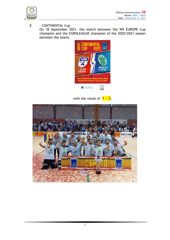

**2** - CONTINENTAL Cup

On 18 September 2021, the match between the WS EUROPE Cup champion and the EUROLEAGUE champion of the 2020/2021 season between the teams



with the result of **1 – 3.**

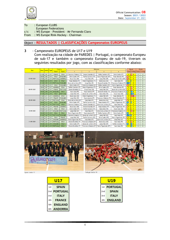

To : European CLUBS European Federations c/c : WS Europe – President – Mr Fernando Claro

From : WS Europe Rink-Hockey - Chairman

## Object : **RESULTADOS | CLASSIFICAÇÕES Campeonatos EUROPEUS**

**3** - Campeonato EUROPEUS de U17 e U19 Com realização na cidade de PAREDES | Portugal, o campeonato Europeu de sub-17 e também o campeonato Europeu de sub-19, tiveram os seguintes resultados por jogo, com as classificações conforme abaixo:

| Day        | Hour  |     | Match Type      | Country           |                   | <b>Referees</b>         |                              |                         |                              |                         | <b>Result</b>                     |                         | <b>Points</b>           |  |
|------------|-------|-----|-----------------|-------------------|-------------------|-------------------------|------------------------------|-------------------------|------------------------------|-------------------------|-----------------------------------|-------------------------|-------------------------|--|
|            |       |     |                 | Team <sub>1</sub> | Team <sub>2</sub> | $\blacktriangleleft$    | $\overline{2}$               | 3                       | 4                            |                         | Home   Visiting   Home   Visiting |                         |                         |  |
|            | 11:00 | 201 | <b>U17</b>      | <b>FRANCE</b>     | <b>SPAIN</b>      | Francesco Stallone (IT) | Simone Branbilla (IT)        | Teófilo Casimiro (PT)   | Silvia Coelho (PT)           | $\bf{0}$                | $\Box$                            | $\bf{0}$                | $\overline{3}$          |  |
|            | 15:00 | 202 | <b>U17</b>      | <b>ITALY</b>      | <b>ENGLAND</b>    | Silvia Coelho (PT)      | Teófilo Casimiro (PT)        | Pedro Figueiredo (PT)   | Paulo Almeida (PT)           | 14                      | $\overline{1}$                    | $\overline{\mathbf{3}}$ | $\mathbf{0}$            |  |
| 07/09/2021 | 17:00 | 203 | <b>U17</b>      | <b>PORTUGAL</b>   | <b>ANDORRA</b>    | Bruno Sosa (GB)         | Nuno Melo (FR)               | Josep Ribó (SP)         | Alvaro de La Hera (SP)       | 16                      | $\overline{0}$                    | 3 <sup>1</sup>          | $\mathbf{0}$            |  |
|            | 19:00 | 204 | <b>U19</b>      | <b>SPAIN</b>      | <b>ITALY</b>      | Paulo Almeida (PT)      | Pedro Figueiredo (PT)        | Bruno Sosa (GB)         | Nuno Melo (FR)               | $\overline{2}$          | $\overline{1}$                    | 3 <sup>7</sup>          | $\mathbf{0}$            |  |
|            | 21:00 | 205 | U19             | <b>PORTUGAL</b>   | <b>ENGLAND</b>    | Alvaro de La Hera (SP)  | Josep Ribó (SP)              | Simone Branbilla (IT)   | Francesco Stallone (IT)      | 12                      | $\overline{0}$                    | 3                       | $\mathbf{0}$            |  |
|            | 11:00 | 206 | <b>U17</b>      | <b>SPAIN</b>      | <b>ENGLAND</b>    | Silvia Coelho (PT)      | Francesco Stallone (IT)      | Teófilo Casimiro (PT)   | Pedro Figueiredo (PT)        | 13                      | $\overline{0}$                    | $\overline{\mathbf{3}}$ | $\mathbf{0}$            |  |
|            | 15:00 | 207 | <b>U17</b>      | <b>ANDORRA</b>    | <b>ITALY</b>      | Teófilo Casimiro (PT)   | Pedro Figueiredo (PT)        | Silvia Coelho (PT)      | Paulo Ameida (PT)            | $\overline{0}$          | 9                                 | $\mathbf{0}$            | $\overline{\mathbf{3}}$ |  |
| 08/09/2021 | 17:00 | 208 | <b>U17</b>      | <b>FRANCE</b>     | <b>PORTUGAL</b>   | Simone Branbilla (IT)   | Bruno Sosa (GB)              | Josep Ribó (SP)         | Alvaro de La Hera (SP)       | $\overline{2}$          | -9                                | $\mathbf{0}$            | 3                       |  |
|            | 19:00 | 209 | <b>U19</b>      | <b>ENGLAND</b>    | <b>SPAIN</b>      | Nuno Melo (FR)          | Paulo Almeida (PT)           | Simone Branbilla (IT)   | Francesco Stallone (IT)      | $\overline{2}$          | 75                                | $\mathbf{0}$            | $\overline{3}$          |  |
|            | 21:00 | 210 | U <sub>19</sub> | <b>ITALY</b>      | <b>PORTUGAL</b>   | Josep Ribó (SP)         | Alvaro de La Hera (SP)       | Nuno Melo (FR)          | Bruno Sosa (GB)              | $\overline{2}$          | $\overline{\mathbf{8}}$           | $\mathbf{0}$            | $\mathbf{3}$            |  |
| 09/09/2021 | 11:00 | 211 | <b>U17</b>      | <b>ANDORRA</b>    | <b>SPAIN</b>      | Bruno Sosa (GB)         | Pedro Figueiredo (PT)        | Josep Ribó (SP)         | Paulo Ameida (PT)            | $\overline{0}$          | 30                                | $\mathbf{0}$            | $\overline{\mathbf{3}}$ |  |
|            | 15:00 | 212 | <b>U17</b>      | <b>FRANCE</b>     | <b>ENGLAND</b>    | Josep Ribó (SP)         | Paulo Almeida (PT)           | Francesco Stallone (IT) | Simone Branbilla (IT)        | $\overline{4}$          | $\overline{2}$                    | $\overline{\mathbf{3}}$ | $\mathbf{0}$            |  |
|            | 17:00 | 213 | <b>U17</b>      | <b>PORTUGAL</b>   | <b>ITALY</b>      | Alvaro de La Hera (SP)  | Nuno Melo (FR)               | Bruno Sosa (GB)         | Josep Ribó (SP)              | 8                       | $\overline{2}$                    | $\overline{\mathbf{3}}$ | $\mathbf{0}$            |  |
|            | 19:00 | 214 | <b>U19</b>      | <b>ITALY</b>      | <b>ENGLAND</b>    | Sílvia Coelho (PT)      | Teófilo Casimiro (PT)        | Paulo Almeida (PT)      | Pedro Figueiredo (PT)        | $\overline{7}$          | $\overline{2}$                    | $\overline{\mathbf{3}}$ | $\mathbf{0}$            |  |
|            | 21:00 | 215 | <b>U19</b>      | <b>PORTUGAL</b>   | <b>SPAIN</b>      | Francesco Stallone (IT) | Simone Branbilla (IT)        | Alvaro de La Hera (SP)  | Nuno Melo (FR)               | $\overline{2}$          | $\overline{0}$                    | 3                       | $\mathbf{0}$            |  |
|            | 11:00 | 216 | <b>U17</b>      | <b>FRANCE</b>     | <b>ANDORRA</b>    | Bruno Sosa (GB)         | Simone Branbilla (IT)        | Paulo Almeida (PT)      | Pedro Figueiredo (PT)        | $\overline{7}$          |                                   | $\overline{\mathbf{3}}$ | $\mathbf{0}$            |  |
|            | 15:00 | 217 | <b>U17</b>      | <b>SPAIN</b>      | <b>ITALY</b>      | Silvia Coelho (PT)      | Teófilo Casimiro (PT)        | Nuno Melo (FR)          | Bruno Sosa (GB)              | $\overline{4}$          | $\overline{2}$                    | $\overline{\mathbf{3}}$ | $\mathbf{0}$            |  |
| 10/09/2021 | 17:00 | 218 | <b>U17</b>      | <b>ENGLAND</b>    | <b>PORTUGAL</b>   | Josep Ribó (SP)         | Nuno Melo (FR)               | Alvaro de La Hera (SP)  | Francesco Stallone (IT)      | $\overline{1}$          | $ 10\rangle$                      | $\mathbf{0}$            | $\overline{\mathbf{3}}$ |  |
|            | 19:00 | 219 | <b>U19</b>      | <b>SPAIN</b>      | <b>ITALY</b>      | Pedro Figueiredo (PT)   | Paulo Almeida (PT)           | Teófilo Casimiro (PT)   | Silvia Coelho (PT)           | 6                       | $\mathbf{0}$                      | 3 <sup>7</sup>          | $\mathbf{0}$            |  |
|            | 21:00 | 220 | <b>U19</b>      | <b>PORTUGAL</b>   | <b>ENGLAND</b>    | Francesco Stallone (IT) | Alvaro de La Hera (SP)       | Josep Ribó (SP)         | Nuno Melo (FR)               | 12                      | $\overline{2}$                    | $\overline{\mathbf{3}}$ | $\mathbf{0}$            |  |
| 11/09/2021 | 13:00 | 221 | <b>U17</b>      | <b>ITALY</b>      | <b>FRANCE</b>     | Josep Ribó (SP)         | <b>Teófilo Casimiro (PT)</b> | Silvia Coelho (PT)      | Pedro Figueiredo (PT)        | 5                       | $\overline{\mathbf{3}}$           | 3 <sup>7</sup>          | $\mathbf{0}$            |  |
|            | 15:00 | 222 | U17             | <b>ENGLAND</b>    | <b>ANDORRA</b>    | Pedro Figueiredo (PT)   | Nuno Melo (FR)               | Alvaro de La Hera (SP)  | Josep Ribó (SP)              | $\overline{\mathbf{3}}$ | $\overline{1}$                    | 3 <sup>1</sup>          | $\mathbf{0}$            |  |
|            | 17:00 | 223 | <b>U17</b>      | <b>PORTUGAL</b>   | <b>SPAIN</b>      | Simone Branbilla (IT)   | Francesco Stallone (IT)      | Bruno Sosa (GB)         | Nuno Melo (FR)               | $\overline{\mathbf{3}}$ | $\overline{\mathbf{8}}$           | $\mathbf{0}$            | $\mathbf{3}$            |  |
|            | 19:00 | 224 | U19             | <b>ENGLAND</b>    | <b>ITALY</b>      | Silvia Coelho (PT)      | Alvaro de La Hera (SP)       | Josep Ribó (SP)         | <b>Teófilo Casimiro (PT)</b> | $\mathsf{B}$            |                                   | 3 <sup>7</sup>          | $\mathbf{0}$            |  |
|            | 21:00 | 225 | U19             | PORTUGAL          | <b>SPAIN</b>      | Simone Branbilla (IT)   | Francesco Stallone (IT)      | Pedro Figueiredo (PT)   | Nuno Melo (FR)               |                         |                                   | $\mathbf{0}$            | $\overline{3}$          |  |





| U17                 |                 |  |  |  |  |  |  |
|---------------------|-----------------|--|--|--|--|--|--|
| <b>SPAIN</b><br>1st |                 |  |  |  |  |  |  |
| 2 <sub>nd</sub>     | <b>PORTUGAL</b> |  |  |  |  |  |  |
| 3rd                 | ITALY           |  |  |  |  |  |  |
| 4th                 | <b>FRANCE</b>   |  |  |  |  |  |  |
| 5th                 | <b>ENGLAND</b>  |  |  |  |  |  |  |
| 6th                 | <b>ANDORRA</b>  |  |  |  |  |  |  |



| U19 |                 |  |  |  |  |  |
|-----|-----------------|--|--|--|--|--|
| 1st | <b>PORTUGAL</b> |  |  |  |  |  |
| 2nd | <b>SPAIN</b>    |  |  |  |  |  |
| 3rd | ITALY           |  |  |  |  |  |
| 4th | ENGLAND         |  |  |  |  |  |